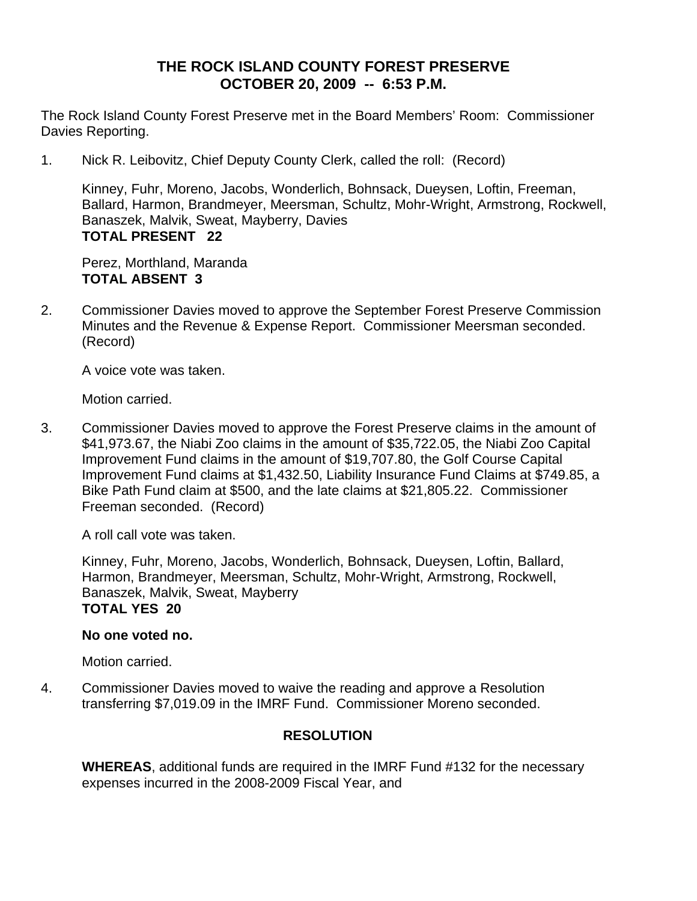# **THE ROCK ISLAND COUNTY FOREST PRESERVE OCTOBER 20, 2009 -- 6:53 P.M.**

The Rock Island County Forest Preserve met in the Board Members' Room: Commissioner Davies Reporting.

1. Nick R. Leibovitz, Chief Deputy County Clerk, called the roll: (Record)

Kinney, Fuhr, Moreno, Jacobs, Wonderlich, Bohnsack, Dueysen, Loftin, Freeman, Ballard, Harmon, Brandmeyer, Meersman, Schultz, Mohr-Wright, Armstrong, Rockwell, Banaszek, Malvik, Sweat, Mayberry, Davies **TOTAL PRESENT 22** 

Perez, Morthland, Maranda **TOTAL ABSENT 3** 

2. Commissioner Davies moved to approve the September Forest Preserve Commission Minutes and the Revenue & Expense Report. Commissioner Meersman seconded. (Record)

A voice vote was taken.

Motion carried.

3. Commissioner Davies moved to approve the Forest Preserve claims in the amount of \$41,973.67, the Niabi Zoo claims in the amount of \$35,722.05, the Niabi Zoo Capital Improvement Fund claims in the amount of \$19,707.80, the Golf Course Capital Improvement Fund claims at \$1,432.50, Liability Insurance Fund Claims at \$749.85, a Bike Path Fund claim at \$500, and the late claims at \$21,805.22. Commissioner Freeman seconded. (Record)

A roll call vote was taken.

Kinney, Fuhr, Moreno, Jacobs, Wonderlich, Bohnsack, Dueysen, Loftin, Ballard, Harmon, Brandmeyer, Meersman, Schultz, Mohr-Wright, Armstrong, Rockwell, Banaszek, Malvik, Sweat, Mayberry **TOTAL YES 20** 

# **No one voted no.**

Motion carried.

4. Commissioner Davies moved to waive the reading and approve a Resolution transferring \$7,019.09 in the IMRF Fund. Commissioner Moreno seconded.

# **RESOLUTION**

**WHEREAS**, additional funds are required in the IMRF Fund #132 for the necessary expenses incurred in the 2008-2009 Fiscal Year, and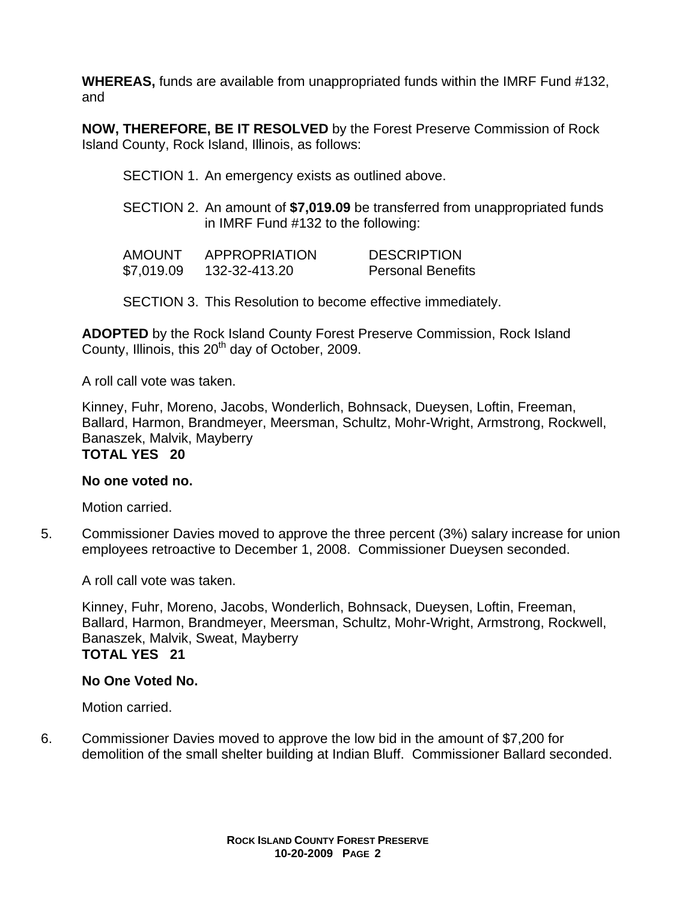**WHEREAS,** funds are available from unappropriated funds within the IMRF Fund #132, and

**NOW, THEREFORE, BE IT RESOLVED** by the Forest Preserve Commission of Rock Island County, Rock Island, Illinois, as follows:

SECTION 1. An emergency exists as outlined above.

SECTION 2. An amount of **\$7,019.09** be transferred from unappropriated funds in IMRF Fund #132 to the following:

| <b>AMOUNT</b> | APPROPRIATION | <b>DESCRIPTION</b>       |
|---------------|---------------|--------------------------|
| \$7,019.09    | 132-32-413.20 | <b>Personal Benefits</b> |

SECTION 3. This Resolution to become effective immediately.

**ADOPTED** by the Rock Island County Forest Preserve Commission, Rock Island County, Illinois, this 20<sup>th</sup> day of October, 2009.

A roll call vote was taken.

Kinney, Fuhr, Moreno, Jacobs, Wonderlich, Bohnsack, Dueysen, Loftin, Freeman, Ballard, Harmon, Brandmeyer, Meersman, Schultz, Mohr-Wright, Armstrong, Rockwell, Banaszek, Malvik, Mayberry **TOTAL YES 20** 

### **No one voted no.**

Motion carried.

5. Commissioner Davies moved to approve the three percent (3%) salary increase for union employees retroactive to December 1, 2008. Commissioner Dueysen seconded.

A roll call vote was taken.

Kinney, Fuhr, Moreno, Jacobs, Wonderlich, Bohnsack, Dueysen, Loftin, Freeman, Ballard, Harmon, Brandmeyer, Meersman, Schultz, Mohr-Wright, Armstrong, Rockwell, Banaszek, Malvik, Sweat, Mayberry **TOTAL YES 21** 

### **No One Voted No.**

Motion carried.

6. Commissioner Davies moved to approve the low bid in the amount of \$7,200 for demolition of the small shelter building at Indian Bluff. Commissioner Ballard seconded.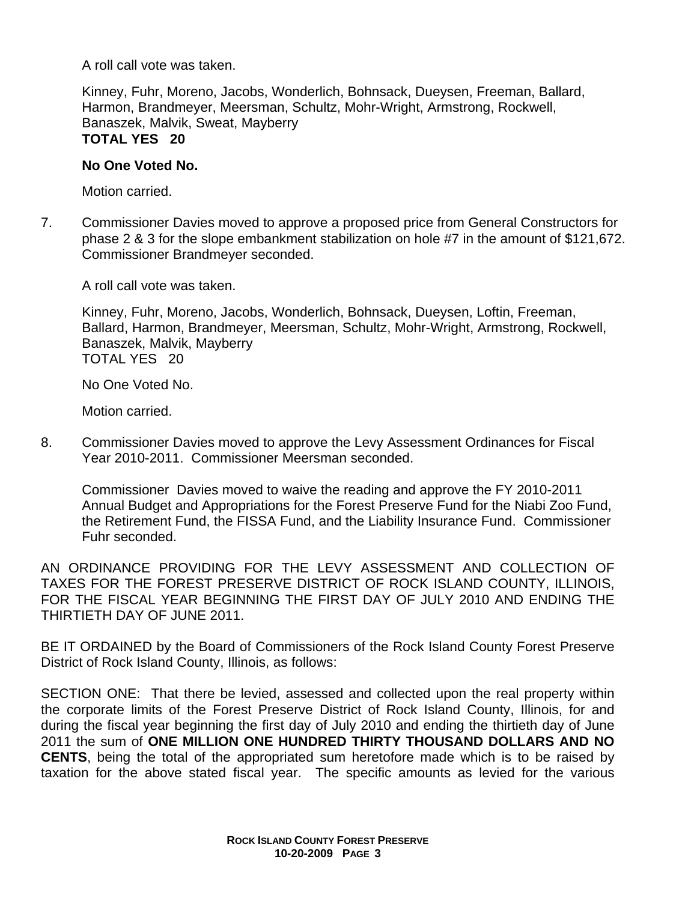A roll call vote was taken.

Kinney, Fuhr, Moreno, Jacobs, Wonderlich, Bohnsack, Dueysen, Freeman, Ballard, Harmon, Brandmeyer, Meersman, Schultz, Mohr-Wright, Armstrong, Rockwell, Banaszek, Malvik, Sweat, Mayberry **TOTAL YES 20** 

### **No One Voted No.**

Motion carried.

7. Commissioner Davies moved to approve a proposed price from General Constructors for phase 2 & 3 for the slope embankment stabilization on hole #7 in the amount of \$121,672. Commissioner Brandmeyer seconded.

A roll call vote was taken.

Kinney, Fuhr, Moreno, Jacobs, Wonderlich, Bohnsack, Dueysen, Loftin, Freeman, Ballard, Harmon, Brandmeyer, Meersman, Schultz, Mohr-Wright, Armstrong, Rockwell, Banaszek, Malvik, Mayberry TOTAL YES 20

No One Voted No.

Motion carried.

8. Commissioner Davies moved to approve the Levy Assessment Ordinances for Fiscal Year 2010-2011. Commissioner Meersman seconded.

Commissioner Davies moved to waive the reading and approve the FY 2010-2011 Annual Budget and Appropriations for the Forest Preserve Fund for the Niabi Zoo Fund, the Retirement Fund, the FISSA Fund, and the Liability Insurance Fund. Commissioner Fuhr seconded.

AN ORDINANCE PROVIDING FOR THE LEVY ASSESSMENT AND COLLECTION OF TAXES FOR THE FOREST PRESERVE DISTRICT OF ROCK ISLAND COUNTY, ILLINOIS, FOR THE FISCAL YEAR BEGINNING THE FIRST DAY OF JULY 2010 AND ENDING THE THIRTIETH DAY OF JUNE 2011.

BE IT ORDAINED by the Board of Commissioners of the Rock Island County Forest Preserve District of Rock Island County, Illinois, as follows:

SECTION ONE: That there be levied, assessed and collected upon the real property within the corporate limits of the Forest Preserve District of Rock Island County, Illinois, for and during the fiscal year beginning the first day of July 2010 and ending the thirtieth day of June 2011 the sum of **ONE MILLION ONE HUNDRED THIRTY THOUSAND DOLLARS AND NO CENTS**, being the total of the appropriated sum heretofore made which is to be raised by taxation for the above stated fiscal year. The specific amounts as levied for the various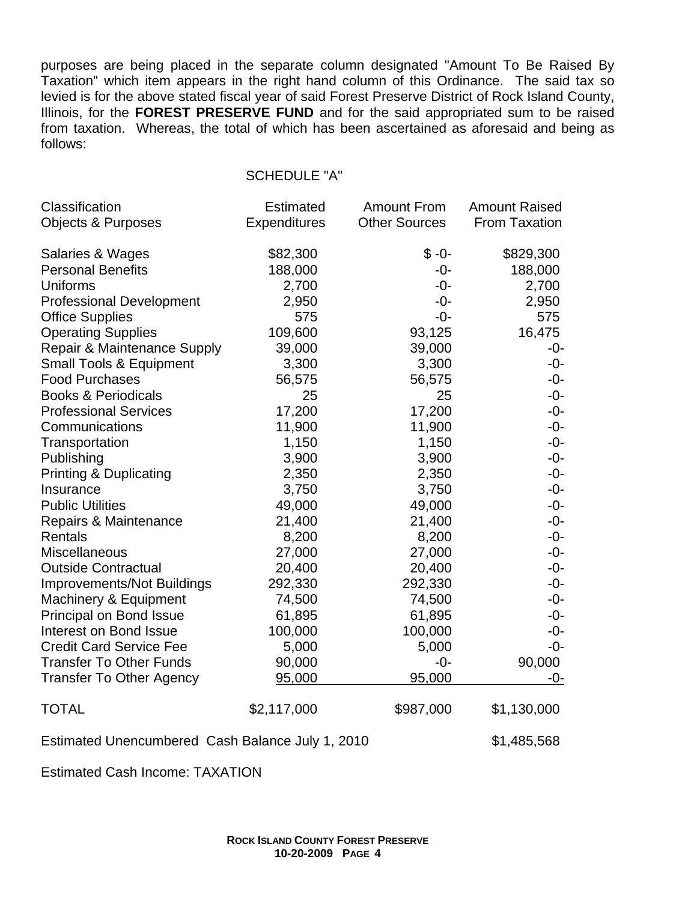purposes are being placed in the separate column designated "Amount To Be Raised By Taxation" which item appears in the right hand column of this Ordinance. The said tax so levied is for the above stated fiscal year of said Forest Preserve District of Rock Island County, Illinois, for the **FOREST PRESERVE FUND** and for the said appropriated sum to be raised from taxation. Whereas, the total of which has been ascertained as aforesaid and being as follows:

### SCHEDULE "A"

| Classification<br><b>Objects &amp; Purposes</b>  | <b>Estimated</b><br><b>Expenditures</b> | <b>Amount From</b><br><b>Other Sources</b> | <b>Amount Raised</b><br>From Taxation |
|--------------------------------------------------|-----------------------------------------|--------------------------------------------|---------------------------------------|
| Salaries & Wages                                 | \$82,300                                | $$ -0-$                                    | \$829,300                             |
| <b>Personal Benefits</b>                         | 188,000                                 | $-0-$                                      | 188,000                               |
| <b>Uniforms</b>                                  | 2,700                                   | $-0-$                                      | 2,700                                 |
| <b>Professional Development</b>                  | 2,950                                   | $-0-$                                      | 2,950                                 |
| <b>Office Supplies</b>                           | 575                                     | $-0-$                                      | 575                                   |
| <b>Operating Supplies</b>                        | 109,600                                 | 93,125                                     | 16,475                                |
| Repair & Maintenance Supply                      | 39,000                                  | 39,000                                     | -0-                                   |
| <b>Small Tools &amp; Equipment</b>               | 3,300                                   | 3,300                                      | $-0-$                                 |
| <b>Food Purchases</b>                            | 56,575                                  | 56,575                                     | $-0-$                                 |
| <b>Books &amp; Periodicals</b>                   | 25                                      | 25                                         | $-0-$                                 |
| <b>Professional Services</b>                     | 17,200                                  | 17,200                                     | $-0-$                                 |
| Communications                                   | 11,900                                  | 11,900                                     | $-0-$                                 |
| Transportation                                   | 1,150                                   | 1,150                                      | $-0-$                                 |
| Publishing                                       | 3,900                                   | 3,900                                      | $-0-$                                 |
| <b>Printing &amp; Duplicating</b>                | 2,350                                   | 2,350                                      | $-0-$                                 |
| Insurance                                        | 3,750                                   | 3,750                                      | $-0-$                                 |
| <b>Public Utilities</b>                          | 49,000                                  | 49,000                                     | $-0-$                                 |
| Repairs & Maintenance                            | 21,400                                  | 21,400                                     | $-0-$                                 |
| Rentals                                          | 8,200                                   | 8,200                                      | $-0-$                                 |
| <b>Miscellaneous</b>                             | 27,000                                  | 27,000                                     | $-0-$                                 |
| <b>Outside Contractual</b>                       | 20,400                                  | 20,400                                     | $-0-$                                 |
| Improvements/Not Buildings                       | 292,330                                 | 292,330                                    | $-0-$                                 |
| Machinery & Equipment                            | 74,500                                  | 74,500                                     | $-0-$                                 |
| Principal on Bond Issue                          | 61,895                                  | 61,895                                     | $-0-$                                 |
| Interest on Bond Issue                           | 100,000                                 | 100,000                                    | $-0-$                                 |
| <b>Credit Card Service Fee</b>                   | 5,000                                   | 5,000                                      | $-0-$                                 |
| <b>Transfer To Other Funds</b>                   | 90,000                                  | $-0-$                                      | 90,000                                |
| <b>Transfer To Other Agency</b>                  | 95,000                                  | 95,000                                     | -0-                                   |
| <b>TOTAL</b>                                     | \$2,117,000                             | \$987,000                                  | \$1,130,000                           |
| Estimated Unencumbered Cash Balance July 1, 2010 |                                         |                                            | \$1,485,568                           |

Estimated Cash Income: TAXATION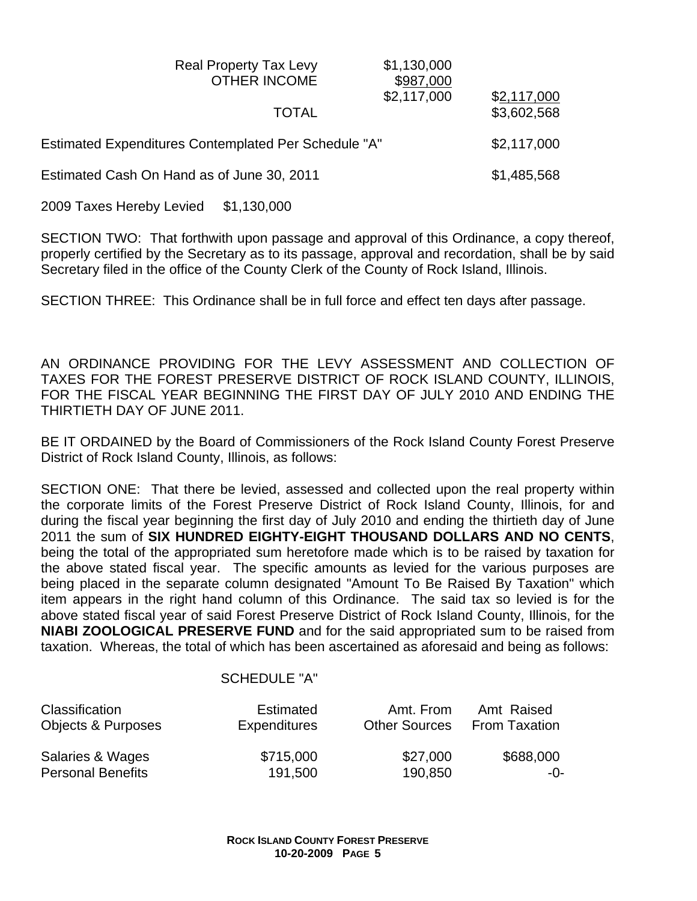| <b>Real Property Tax Levy</b><br><b>OTHER INCOME</b> | \$1,130,000<br>\$987,000 |                            |
|------------------------------------------------------|--------------------------|----------------------------|
| <b>TOTAL</b>                                         | \$2,117,000              | \$2,117,000<br>\$3,602,568 |
| Estimated Expenditures Contemplated Per Schedule "A" |                          | \$2,117,000                |
| Estimated Cash On Hand as of June 30, 2011           |                          | \$1,485,568                |

2009 Taxes Hereby Levied \$1,130,000

SECTION TWO: That forthwith upon passage and approval of this Ordinance, a copy thereof, properly certified by the Secretary as to its passage, approval and recordation, shall be by said Secretary filed in the office of the County Clerk of the County of Rock Island, Illinois.

SECTION THREE: This Ordinance shall be in full force and effect ten days after passage.

AN ORDINANCE PROVIDING FOR THE LEVY ASSESSMENT AND COLLECTION OF TAXES FOR THE FOREST PRESERVE DISTRICT OF ROCK ISLAND COUNTY, ILLINOIS, FOR THE FISCAL YEAR BEGINNING THE FIRST DAY OF JULY 2010 AND ENDING THE THIRTIETH DAY OF JUNE 2011.

BE IT ORDAINED by the Board of Commissioners of the Rock Island County Forest Preserve District of Rock Island County, Illinois, as follows:

SECTION ONE: That there be levied, assessed and collected upon the real property within the corporate limits of the Forest Preserve District of Rock Island County, Illinois, for and during the fiscal year beginning the first day of July 2010 and ending the thirtieth day of June 2011 the sum of **SIX HUNDRED EIGHTY-EIGHT THOUSAND DOLLARS AND NO CENTS**, being the total of the appropriated sum heretofore made which is to be raised by taxation for the above stated fiscal year. The specific amounts as levied for the various purposes are being placed in the separate column designated "Amount To Be Raised By Taxation" which item appears in the right hand column of this Ordinance. The said tax so levied is for the above stated fiscal year of said Forest Preserve District of Rock Island County, Illinois, for the **NIABI ZOOLOGICAL PRESERVE FUND** and for the said appropriated sum to be raised from taxation. Whereas, the total of which has been ascertained as aforesaid and being as follows:

| <b>Classification</b>         | Estimated           | Amt. From            | Amt Raised           |
|-------------------------------|---------------------|----------------------|----------------------|
| <b>Objects &amp; Purposes</b> | <b>Expenditures</b> | <b>Other Sources</b> | <b>From Taxation</b> |
| Salaries & Wages              | \$715,000           | \$27,000             | \$688,000            |
| <b>Personal Benefits</b>      | 191,500             | 190,850              | -0-                  |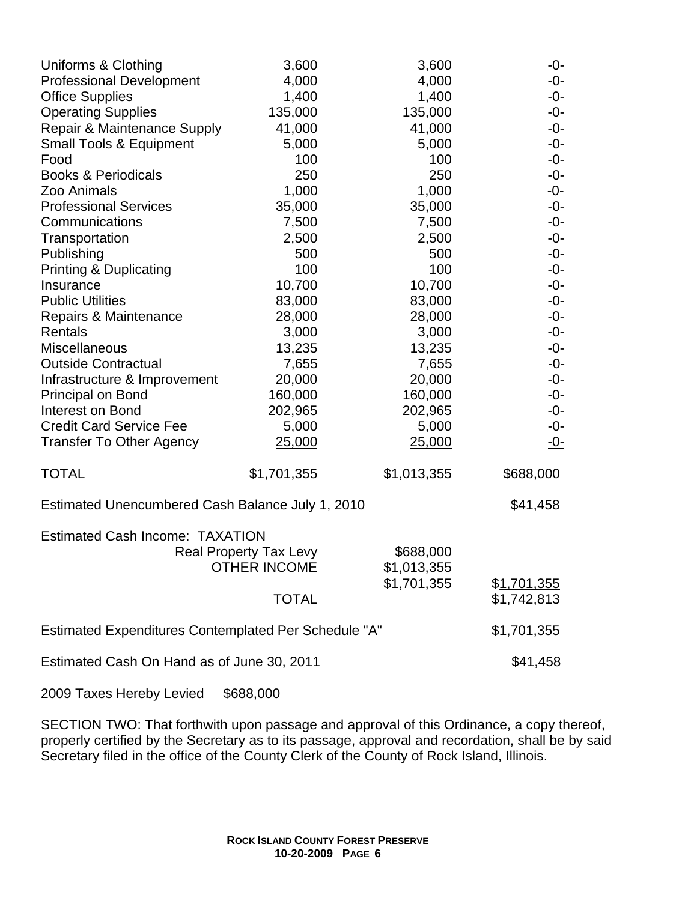| Uniforms & Clothing                                  | 3,600                         | 3,600       | $-0-$                              |
|------------------------------------------------------|-------------------------------|-------------|------------------------------------|
| <b>Professional Development</b>                      | 4,000                         | 4,000       | -0-                                |
| <b>Office Supplies</b>                               | 1,400                         | 1,400       | -0-                                |
| <b>Operating Supplies</b>                            | 135,000                       | 135,000     | $-0-$                              |
| Repair & Maintenance Supply                          | 41,000                        | 41,000      | -0-                                |
| <b>Small Tools &amp; Equipment</b>                   | 5,000                         | 5,000       | -0-                                |
| Food                                                 | 100                           | 100         | -0-                                |
| <b>Books &amp; Periodicals</b>                       | 250                           | 250         | -0-                                |
| Zoo Animals                                          | 1,000                         | 1,000       | -0-                                |
| <b>Professional Services</b>                         | 35,000                        | 35,000      | -0-                                |
| Communications                                       | 7,500                         | 7,500       | $-0-$                              |
| Transportation                                       | 2,500                         | 2,500       | $-0-$                              |
| Publishing                                           | 500                           | 500         | -0-                                |
| <b>Printing &amp; Duplicating</b>                    | 100                           | 100         | -0-                                |
| Insurance                                            | 10,700                        | 10,700      | -0-                                |
| <b>Public Utilities</b>                              | 83,000                        | 83,000      | -0-                                |
| Repairs & Maintenance                                | 28,000                        | 28,000      | -0-                                |
| Rentals                                              | 3,000                         | 3,000       | -0-                                |
| Miscellaneous                                        | 13,235                        | 13,235      | -0-                                |
| <b>Outside Contractual</b>                           | 7,655                         | 7,655       | -0-                                |
| Infrastructure & Improvement                         | 20,000                        | 20,000      | $-0-$                              |
| Principal on Bond                                    | 160,000                       | 160,000     | -0-                                |
| Interest on Bond                                     | 202,965                       | 202,965     | -0-                                |
| <b>Credit Card Service Fee</b>                       | 5,000                         | 5,000       | -0-                                |
| <b>Transfer To Other Agency</b>                      | 25,000                        | 25,000      | <u>-0-</u>                         |
| <b>TOTAL</b>                                         | \$1,701,355                   | \$1,013,355 | \$688,000                          |
|                                                      |                               |             |                                    |
| Estimated Unencumbered Cash Balance July 1, 2010     |                               |             | \$41,458                           |
| <b>Estimated Cash Income: TAXATION</b>               |                               |             |                                    |
|                                                      | <b>Real Property Tax Levy</b> | \$688,000   |                                    |
|                                                      | <b>OTHER INCOME</b>           | \$1,013,355 |                                    |
|                                                      | <b>TOTAL</b>                  | \$1,701,355 | \$ <u>1,701,355</u><br>\$1,742,813 |
| Estimated Expenditures Contemplated Per Schedule "A" |                               |             | \$1,701,355                        |
| Estimated Cash On Hand as of June 30, 2011           | \$41,458                      |             |                                    |

2009 Taxes Hereby Levied \$688,000

SECTION TWO: That forthwith upon passage and approval of this Ordinance, a copy thereof, properly certified by the Secretary as to its passage, approval and recordation, shall be by said Secretary filed in the office of the County Clerk of the County of Rock Island, Illinois.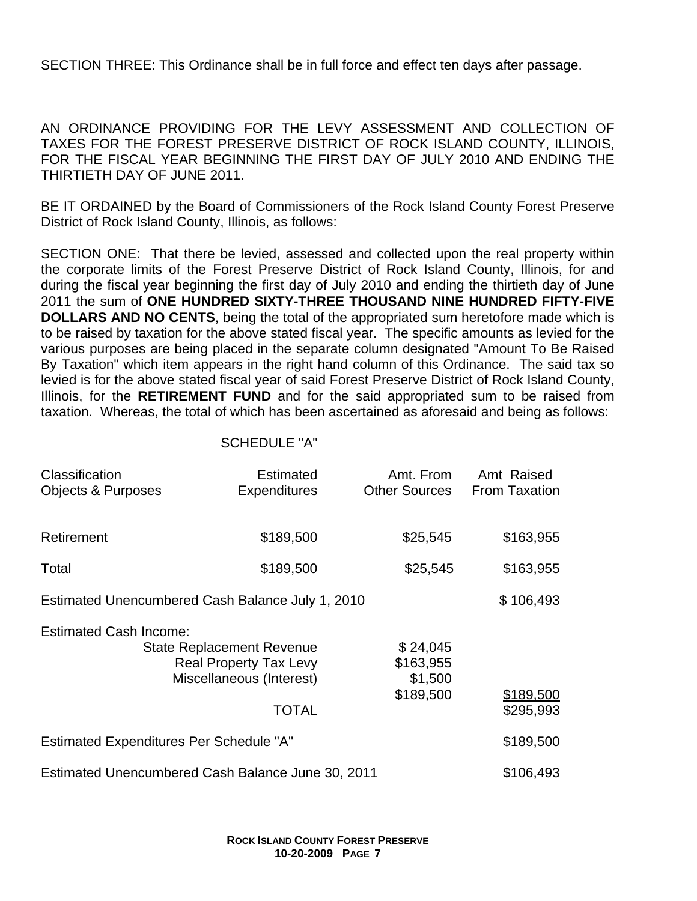SECTION THREE: This Ordinance shall be in full force and effect ten days after passage.

AN ORDINANCE PROVIDING FOR THE LEVY ASSESSMENT AND COLLECTION OF TAXES FOR THE FOREST PRESERVE DISTRICT OF ROCK ISLAND COUNTY, ILLINOIS, FOR THE FISCAL YEAR BEGINNING THE FIRST DAY OF JULY 2010 AND ENDING THE THIRTIETH DAY OF JUNE 2011.

BE IT ORDAINED by the Board of Commissioners of the Rock Island County Forest Preserve District of Rock Island County, Illinois, as follows:

SECTION ONE: That there be levied, assessed and collected upon the real property within the corporate limits of the Forest Preserve District of Rock Island County, Illinois, for and during the fiscal year beginning the first day of July 2010 and ending the thirtieth day of June 2011 the sum of **ONE HUNDRED SIXTY-THREE THOUSAND NINE HUNDRED FIFTY-FIVE DOLLARS AND NO CENTS**, being the total of the appropriated sum heretofore made which is to be raised by taxation for the above stated fiscal year. The specific amounts as levied for the various purposes are being placed in the separate column designated "Amount To Be Raised By Taxation" which item appears in the right hand column of this Ordinance. The said tax so levied is for the above stated fiscal year of said Forest Preserve District of Rock Island County, Illinois, for the **RETIREMENT FUND** and for the said appropriated sum to be raised from taxation. Whereas, the total of which has been ascertained as aforesaid and being as follows:

| Classification<br><b>Objects &amp; Purposes</b>                                                                                                | <b>Estimated</b><br><b>Expenditures</b> | Amt. From<br><b>Other Sources</b>             | Amt Raised<br>From Taxation |
|------------------------------------------------------------------------------------------------------------------------------------------------|-----------------------------------------|-----------------------------------------------|-----------------------------|
| Retirement<br>Total                                                                                                                            | \$189,500<br>\$189,500                  | \$25,545<br>\$25,545                          | \$163,955<br>\$163,955      |
| Estimated Unencumbered Cash Balance July 1, 2010                                                                                               | \$106,493                               |                                               |                             |
| <b>Estimated Cash Income:</b><br><b>State Replacement Revenue</b><br><b>Real Property Tax Levy</b><br>Miscellaneous (Interest)<br><b>TOTAL</b> |                                         | \$24,045<br>\$163,955<br>\$1,500<br>\$189,500 | \$189,500<br>\$295,993      |
| <b>Estimated Expenditures Per Schedule "A"</b>                                                                                                 |                                         |                                               | \$189,500                   |
| Estimated Unencumbered Cash Balance June 30, 2011                                                                                              |                                         |                                               | \$106,493                   |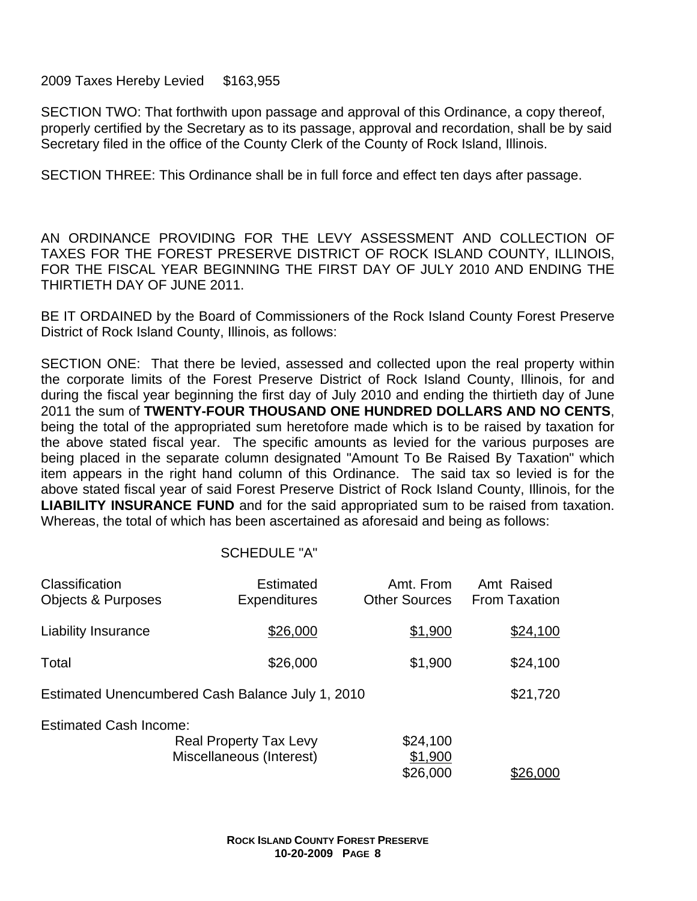2009 Taxes Hereby Levied \$163,955

SECTION TWO: That forthwith upon passage and approval of this Ordinance, a copy thereof, properly certified by the Secretary as to its passage, approval and recordation, shall be by said Secretary filed in the office of the County Clerk of the County of Rock Island, Illinois.

SECTION THREE: This Ordinance shall be in full force and effect ten days after passage.

AN ORDINANCE PROVIDING FOR THE LEVY ASSESSMENT AND COLLECTION OF TAXES FOR THE FOREST PRESERVE DISTRICT OF ROCK ISLAND COUNTY, ILLINOIS, FOR THE FISCAL YEAR BEGINNING THE FIRST DAY OF JULY 2010 AND ENDING THE THIRTIETH DAY OF JUNE 2011.

BE IT ORDAINED by the Board of Commissioners of the Rock Island County Forest Preserve District of Rock Island County, Illinois, as follows:

SECTION ONE: That there be levied, assessed and collected upon the real property within the corporate limits of the Forest Preserve District of Rock Island County, Illinois, for and during the fiscal year beginning the first day of July 2010 and ending the thirtieth day of June 2011 the sum of **TWENTY-FOUR THOUSAND ONE HUNDRED DOLLARS AND NO CENTS**, being the total of the appropriated sum heretofore made which is to be raised by taxation for the above stated fiscal year. The specific amounts as levied for the various purposes are being placed in the separate column designated "Amount To Be Raised By Taxation" which item appears in the right hand column of this Ordinance. The said tax so levied is for the above stated fiscal year of said Forest Preserve District of Rock Island County, Illinois, for the **LIABILITY INSURANCE FUND** and for the said appropriated sum to be raised from taxation. Whereas, the total of which has been ascertained as aforesaid and being as follows:

| Classification<br><b>Objects &amp; Purposes</b>  | <b>Estimated</b><br><b>Expenditures</b>                   | Amt. From<br><b>Other Sources</b> | Amt Raised<br><b>From Taxation</b> |
|--------------------------------------------------|-----------------------------------------------------------|-----------------------------------|------------------------------------|
| <b>Liability Insurance</b>                       | \$26,000                                                  | \$1,900                           | \$24,100                           |
| Total                                            | \$26,000                                                  | \$1,900                           | \$24,100                           |
| Estimated Unencumbered Cash Balance July 1, 2010 |                                                           |                                   | \$21,720                           |
| <b>Estimated Cash Income:</b>                    | <b>Real Property Tax Levy</b><br>Miscellaneous (Interest) | \$24,100<br>\$1,900<br>\$26,000   | \$26,000                           |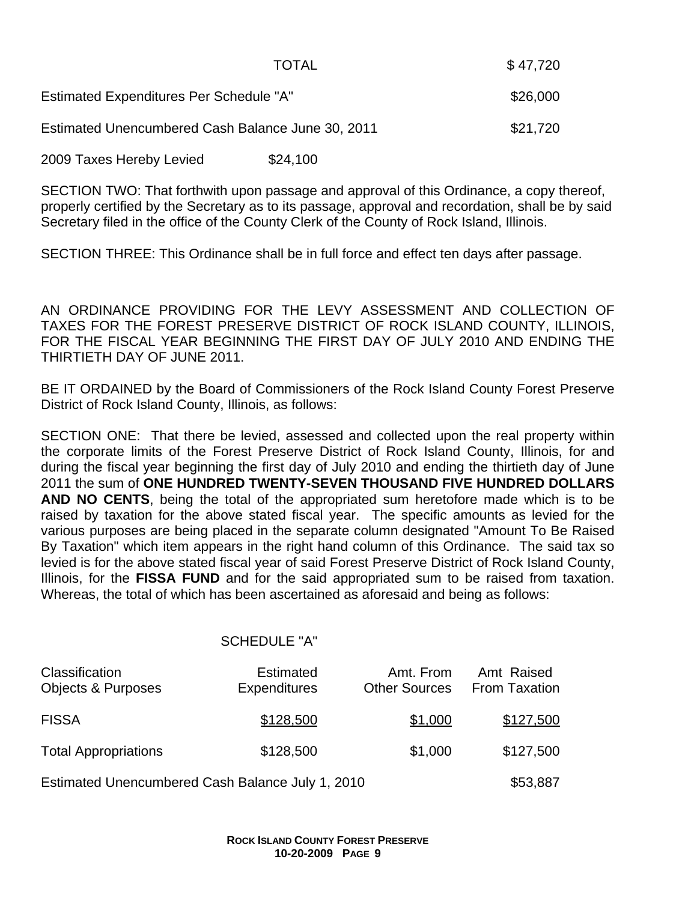| TOTAL                                             | \$47,720 |
|---------------------------------------------------|----------|
| <b>Estimated Expenditures Per Schedule "A"</b>    | \$26,000 |
| Estimated Unencumbered Cash Balance June 30, 2011 | \$21,720 |

2009 Taxes Hereby Levied \$24,100

SECTION TWO: That forthwith upon passage and approval of this Ordinance, a copy thereof, properly certified by the Secretary as to its passage, approval and recordation, shall be by said Secretary filed in the office of the County Clerk of the County of Rock Island, Illinois.

SECTION THREE: This Ordinance shall be in full force and effect ten days after passage.

AN ORDINANCE PROVIDING FOR THE LEVY ASSESSMENT AND COLLECTION OF TAXES FOR THE FOREST PRESERVE DISTRICT OF ROCK ISLAND COUNTY, ILLINOIS, FOR THE FISCAL YEAR BEGINNING THE FIRST DAY OF JULY 2010 AND ENDING THE THIRTIETH DAY OF JUNE 2011.

BE IT ORDAINED by the Board of Commissioners of the Rock Island County Forest Preserve District of Rock Island County, Illinois, as follows:

SECTION ONE: That there be levied, assessed and collected upon the real property within the corporate limits of the Forest Preserve District of Rock Island County, Illinois, for and during the fiscal year beginning the first day of July 2010 and ending the thirtieth day of June 2011 the sum of **ONE HUNDRED TWENTY-SEVEN THOUSAND FIVE HUNDRED DOLLARS AND NO CENTS**, being the total of the appropriated sum heretofore made which is to be raised by taxation for the above stated fiscal year. The specific amounts as levied for the various purposes are being placed in the separate column designated "Amount To Be Raised By Taxation" which item appears in the right hand column of this Ordinance. The said tax so levied is for the above stated fiscal year of said Forest Preserve District of Rock Island County, Illinois, for the **FISSA FUND** and for the said appropriated sum to be raised from taxation. Whereas, the total of which has been ascertained as aforesaid and being as follows:

| Classification<br><b>Objects &amp; Purposes</b>  | <b>Estimated</b><br><b>Expenditures</b> | Amt. From<br><b>Other Sources</b> | Amt Raised<br><b>From Taxation</b> |
|--------------------------------------------------|-----------------------------------------|-----------------------------------|------------------------------------|
| <b>FISSA</b>                                     | \$128,500                               | \$1,000                           | \$127,500                          |
| <b>Total Appropriations</b>                      | \$128,500                               | \$1,000                           | \$127,500                          |
| Estimated Unencumbered Cash Balance July 1, 2010 |                                         |                                   | \$53,887                           |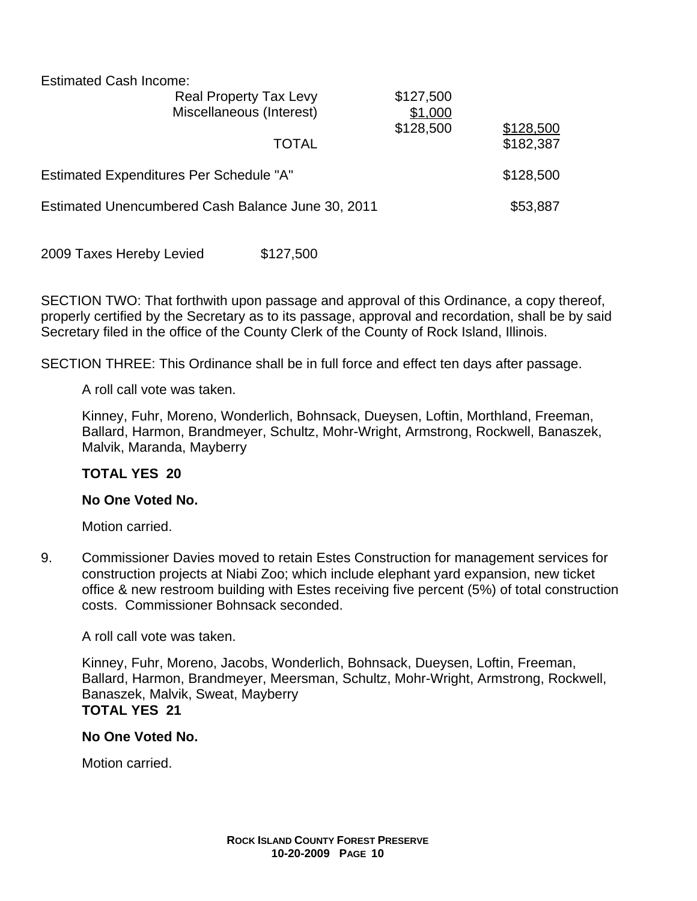Estimated Cash Income:

| <b>Real Property Tax Levy</b><br>Miscellaneous (Interest) | \$127,500<br>\$1,000 |                        |
|-----------------------------------------------------------|----------------------|------------------------|
| <b>TOTAL</b>                                              | \$128,500            | \$128,500<br>\$182,387 |
| <b>Estimated Expenditures Per Schedule "A"</b>            |                      | \$128,500              |
| Estimated Unencumbered Cash Balance June 30, 2011         |                      | \$53,887               |

2009 Taxes Hereby Levied \$127,500

SECTION TWO: That forthwith upon passage and approval of this Ordinance, a copy thereof, properly certified by the Secretary as to its passage, approval and recordation, shall be by said Secretary filed in the office of the County Clerk of the County of Rock Island, Illinois.

SECTION THREE: This Ordinance shall be in full force and effect ten days after passage.

A roll call vote was taken.

Kinney, Fuhr, Moreno, Wonderlich, Bohnsack, Dueysen, Loftin, Morthland, Freeman, Ballard, Harmon, Brandmeyer, Schultz, Mohr-Wright, Armstrong, Rockwell, Banaszek, Malvik, Maranda, Mayberry

# **TOTAL YES 20**

### **No One Voted No.**

Motion carried.

9. Commissioner Davies moved to retain Estes Construction for management services for construction projects at Niabi Zoo; which include elephant yard expansion, new ticket office & new restroom building with Estes receiving five percent (5%) of total construction costs. Commissioner Bohnsack seconded.

A roll call vote was taken.

Kinney, Fuhr, Moreno, Jacobs, Wonderlich, Bohnsack, Dueysen, Loftin, Freeman, Ballard, Harmon, Brandmeyer, Meersman, Schultz, Mohr-Wright, Armstrong, Rockwell, Banaszek, Malvik, Sweat, Mayberry **TOTAL YES 21** 

# **No One Voted No.**

Motion carried.